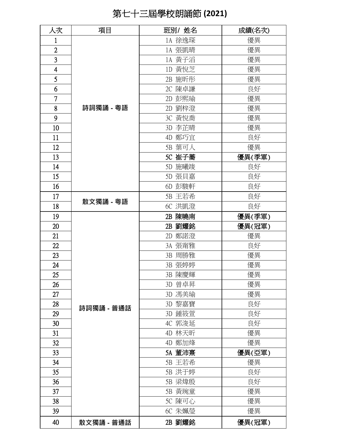## 第七十三屆學校朗誦節 **(2021)**

| 人次                      | 項目         | 班別/ 姓名 | 成績(名次) |
|-------------------------|------------|--------|--------|
| $\mathbf{1}$            |            | 1A 徐逸琛 | 優異     |
| $\overline{2}$          |            | 1A 張凱晴 | 優異     |
| 3                       |            | 1A 黃子滔 | 優異     |
| $\overline{\mathbf{4}}$ | 詩詞獨誦 - 粵語  | 1D 黄悅芝 | 優異     |
| 5                       |            | 2B 施昕彤 | 優異     |
| 6                       |            | 2C 陳卓謙 | 良好     |
| 7                       |            | 2D 彭熙瑜 | 優異     |
| 8                       |            | 2D 劉梓澄 | 優異     |
| 9                       |            | 3C 黄悅喬 | 優異     |
| 10                      |            | 3D 李芷晴 | 優異     |
| 11                      |            | 4D 鄭巧宜 | 良好     |
| 12                      |            | 5B 葉可人 | 優異     |
| 13                      |            | 5C 崔子蕎 | 優異(季軍) |
| 14                      |            | 5D 施曦竣 | 良好     |
| 15                      |            | 5D 張貝嘉 | 良好     |
| 16                      |            | 6D 彭駿軒 | 良好     |
| 17                      |            | 5B 王若希 | 良好     |
| 18                      | 散文獨誦 - 粵語  | 6C 洪凱澄 | 良好     |
| 19                      |            | 2B 陳曉南 | 優異(季軍) |
| 20                      |            | 2B 劉耀銘 | 優異(冠軍) |
| 21                      |            | 2D 鄭諾澄 | 優異     |
| 22                      |            | 3A 張甯雅 | 良好     |
| 23                      |            | 3B 周勝雅 | 優異     |
| 24                      |            | 3B 張婷婷 | 優異     |
| 25 <sub>1</sub>         |            | 3B 陳慶輝 | 優異     |
| 26                      |            | 3D 曾卓昇 | 優異     |
| 27                      |            | 3D 馮美瑜 | 優異     |
| 28                      | 詩詞獨誦 - 普通話 | 3D 黎嘉寶 | 良好     |
| 29                      |            | 3D 鍾筱萱 | 良好     |
| 30                      |            | 4C 郭浚延 | 良好     |
| 31                      |            | 4D 林天昕 | 優異     |
| 32                      |            | 4D 鄭加烽 | 優異     |
| 33                      |            | 5A 董沛熹 | 優異(亞軍) |
| 34                      |            | 5B 王若希 | 優異     |
| 35                      |            | 5B 洪于婷 | 良好     |
| 36                      |            | 5B 梁煒殷 | 良好     |
| 37                      |            | 5B 黃琬童 | 優異     |
| 38                      |            | 5C 陳可心 | 優異     |
| 39                      |            | 6C 朱姵瑩 | 優異     |
| 40                      | 散文獨誦 - 普通話 | 2B 劉耀銘 | 優異(冠軍) |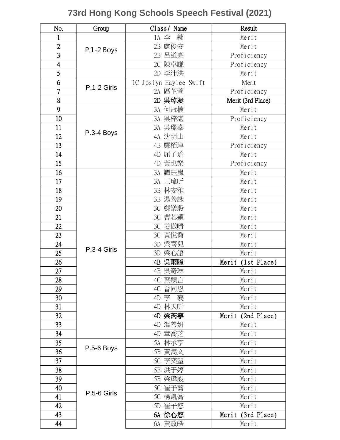## **73rd Hong Kong Schools Speech Festival (2021)**

| No.            | Group       | Class/Name             | Result            |
|----------------|-------------|------------------------|-------------------|
| 1              |             | 翱<br>1A 李              | Merit             |
| $\overline{2}$ | P.1-2 Boys  | 2B 盧俊安                 | Merit             |
| $\overline{3}$ |             | 呂道亮<br>2B              | Proficiency       |
| $\overline{4}$ |             | 陳卓謙<br>2C              | Proficiency       |
| $\overline{5}$ |             | 2D 李沛洪                 | Merit             |
| 6              |             | 1C Joslyn Haylee Swift | Merit             |
| $\overline{7}$ | P.1-2 Girls | 2A 區芷萱                 | Proficiency       |
| 8              |             | 吳琸凝<br>2D              | Merit (3rd Place) |
| 9              |             | 何冠楠<br>3A              | Merit             |
| 10             |             | 3A 吴梓湛                 | Proficiency       |
| 11             |             | 3A 吳璟燊                 | Merit             |
| 12             | P.3-4 Boys  | 4A 沈明山                 | Merit             |
| 13             |             | 鄺栢淳<br>4B              | Proficiency       |
| 14             |             | 屈子瑜<br>4D              | Merit             |
| 15             |             | 黃也樂<br>4D              | Proficiency       |
| 16             |             | 3A 譚珏嵐                 | Merit             |
| 17             |             | 3A 王瑋昕                 | Merit             |
| 18             |             | 3B 林安雅                 | Merit             |
| 19             |             | 3B 湯善詠                 | Merit             |
| 20             |             | 3C 鄭樂殷                 | Merit             |
| 21             |             | 3C 曹芯穎                 | Merit             |
| 22             |             | 3C 姜傲晴                 | Merit             |
| 23             |             | 3C 黃悅喬                 | Merit             |
| 24             | P.3-4 Girls | 3D 梁喜兒                 | Merit             |
| 25             |             | 3D 梁心語                 | Merit             |
| 26             |             | 吳雨瞳<br>4B              | Merit (1st Place) |
| 27             |             | 4B 吳奇琳                 | Merit             |
| 28             |             | 4C 葉穎言                 | Merit             |
| 29             |             | 4C 曾同恩                 | Merit             |
| 30             |             | 4D 李<br>襄              | Merit             |
| 31             |             | 4D 林天昕                 | Merit             |
| 32             |             | 梁芮寧<br>4D              | Merit (2nd Place) |
| 33             |             | 溫善妍<br>4D              | Merit             |
| 34             |             | 4D 章喬芝                 | Merit             |
| 35             | P.5-6 Boys  | 5A 林承亨                 | Merit             |
| 36             |             | 5B 黃雋文                 | Merit             |
| 37             |             | 5C 李奕塱                 | Merit             |
| 38             |             | 5B 洪于婷                 | Merit             |
| 39             |             | 5B 梁煒殷                 | Merit             |
| 40             | P.5-6 Girls | 5C 崔子蕎                 | Merit             |
| 41             |             | 5C 楊凱喬                 | Merit             |
| 42             |             | 5D 崔子悠                 | Merit             |
| 43             |             | 6A 徐心悠                 | Merit (3rd Place) |
| 44             |             | 6A 黃政皓                 | Merit             |